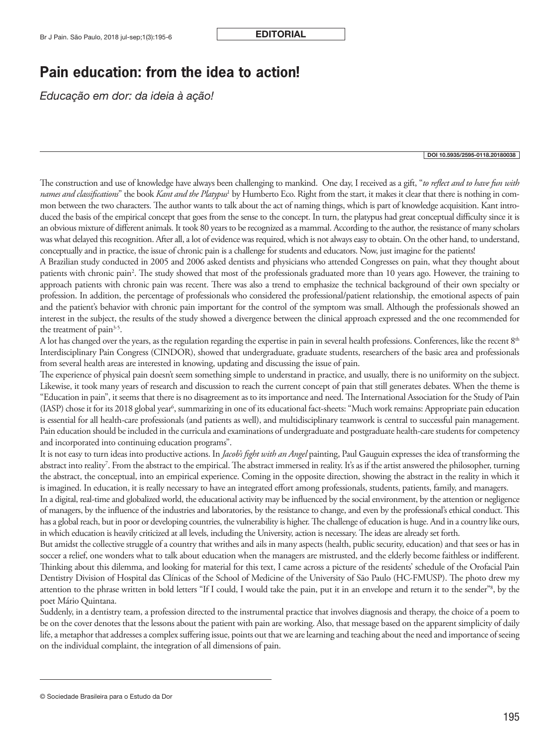## **Pain education: from the idea to action!**

*Educação em dor: da ideia à ação!*

## DOI 10.5935/2595-0118.20180038

The construction and use of knowledge have always been challenging to mankind. One day, I received as a gift, "*to reflect and to have fun with names and classifications*" the book *Kant and the Platypus*' by Humberto Eco. Right from the start, it makes it clear that there is nothing in common between the two characters. The author wants to talk about the act of naming things, which is part of knowledge acquisition. Kant introduced the basis of the empirical concept that goes from the sense to the concept. In turn, the platypus had great conceptual difficulty since it is an obvious mixture of different animals. It took 80 years to be recognized as a mammal. According to the author, the resistance of many scholars was what delayed this recognition. After all, a lot of evidence was required, which is not always easy to obtain. On the other hand, to understand, conceptually and in practice, the issue of chronic pain is a challenge for students and educators. Now, just imagine for the patients!

A Brazilian study conducted in 2005 and 2006 asked dentists and physicians who attended Congresses on pain, what they thought about patients with chronic pain<sup>2</sup>. The study showed that most of the professionals graduated more than 10 years ago. However, the training to approach patients with chronic pain was recent. There was also a trend to emphasize the technical background of their own specialty or profession. In addition, the percentage of professionals who considered the professional/patient relationship, the emotional aspects of pain and the patient's behavior with chronic pain important for the control of the symptom was small. Although the professionals showed an interest in the subject, the results of the study showed a divergence between the clinical approach expressed and the one recommended for the treatment of pain<sup>3-5</sup>.

A lot has changed over the years, as the regulation regarding the expertise in pain in several health professions. Conferences, like the recent 8<sup>th</sup> Interdisciplinary Pain Congress (CINDOR), showed that undergraduate, graduate students, researchers of the basic area and professionals from several health areas are interested in knowing, updating and discussing the issue of pain.

The experience of physical pain doesn't seem something simple to understand in practice, and usually, there is no uniformity on the subject. Likewise, it took many years of research and discussion to reach the current concept of pain that still generates debates. When the theme is "Education in pain", it seems that there is no disagreement as to its importance and need. The International Association for the Study of Pain (IASP) chose it for its 2018 global year<sup>6</sup>, summarizing in one of its educational fact-sheets: "Much work remains: Appropriate pain education is essential for all health-care professionals (and patients as well), and multidisciplinary teamwork is central to successful pain management. Pain education should be included in the curricula and examinations of undergraduate and postgraduate health-care students for competency and incorporated into continuing education programs".

It is not easy to turn ideas into productive actions. In *Jacob's fight with an Angel* painting, Paul Gauguin expresses the idea of transforming the abstract into reality<sup>7</sup>. From the abstract to the empirical. The abstract immersed in reality. It's as if the artist answered the philosopher, turning the abstract, the conceptual, into an empirical experience. Coming in the opposite direction, showing the abstract in the reality in which it is imagined. In education, it is really necessary to have an integrated effort among professionals, students, patients, family, and managers.

In a digital, real-time and globalized world, the educational activity may be influenced by the social environment, by the attention or negligence of managers, by the influence of the industries and laboratories, by the resistance to change, and even by the professional's ethical conduct. This has a global reach, but in poor or developing countries, the vulnerability is higher. The challenge of education is huge. And in a country like ours, in which education is heavily criticized at all levels, including the University, action is necessary. The ideas are already set forth.

But amidst the collective struggle of a country that writhes and ails in many aspects (health, public security, education) and that sees or has in soccer a relief, one wonders what to talk about education when the managers are mistrusted, and the elderly become faithless or indifferent. Thinking about this dilemma, and looking for material for this text, I came across a picture of the residents' schedule of the Orofacial Pain Dentistry Division of Hospital das Clínicas of the School of Medicine of the University of São Paulo (HC-FMUSP). The photo drew my attention to the phrase written in bold letters "If I could, I would take the pain, put it in an envelope and return it to the sender"<sup>8</sup>, by the poet Mário Quintana.

Suddenly, in a dentistry team, a profession directed to the instrumental practice that involves diagnosis and therapy, the choice of a poem to be on the cover denotes that the lessons about the patient with pain are working. Also, that message based on the apparent simplicity of daily life, a metaphor that addresses a complex suffering issue, points out that we are learning and teaching about the need and importance of seeing on the individual complaint, the integration of all dimensions of pain.

<sup>©</sup> Sociedade Brasileira para o Estudo da Dor